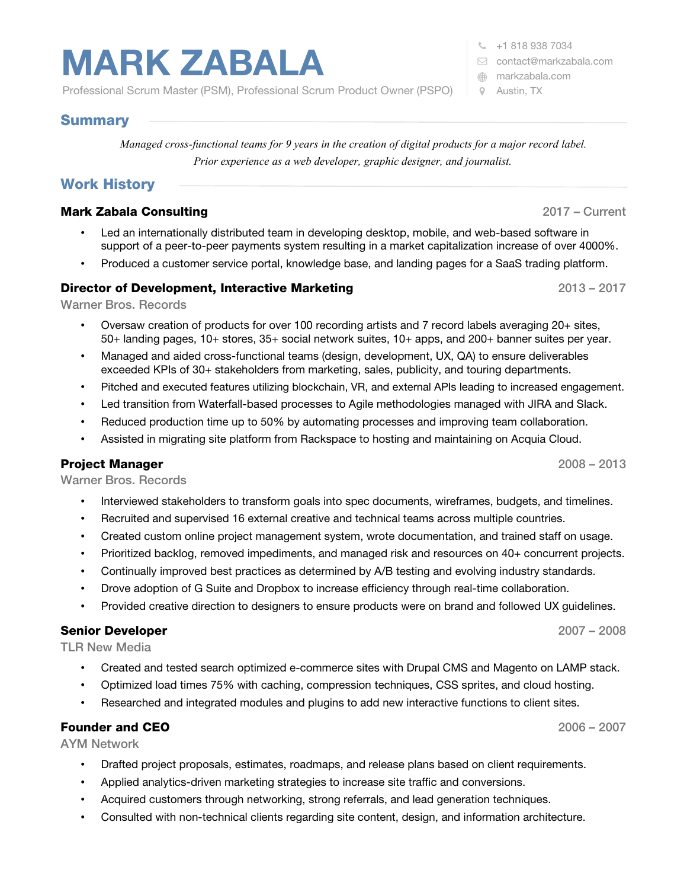# **MARK ZABALA**

Professional Scrum Master (PSM), Professional Scrum Product Owner (PSPO)

 $\frac{1}{2}$  +1 818 938 7034

- [contact@markzabala.com](mailto:contact@markzabala.com)
- [markzabala.com](http://markzabala.com/)
- Austin, TX

# Summary

*Managed cross-functional teams for 9 years in the creation of digital products for a major record label. Prior experience as a web developer, graphic designer, and journalist.*

# Work History

## **Mark Zabala Consulting 2017 – Current 2017 – Current 2017 – Current 2017 – Current 2017 – Current 2017 – Current 2017 – Current 2017 – Current 2017 – Current 2017 – Current 2017 – Current 2017 – Current 2017 – Current 201**

- Led an internationally distributed team in developing desktop, mobile, and web-based software in support of a peer-to-peer payments system resulting in a market capitalization increase of over 4000%.
- Produced a customer service portal, knowledge base, and landing pages for a SaaS trading platform.

#### Director of Development, Interactive Marketing

Warner Bros. Records

- Oversaw creation of products for over 100 recording artists and 7 record labels averaging 20+ sites, 50+ landing pages, 10+ stores, 35+ social network suites, 10+ apps, and 200+ banner suites per year.
- Managed and aided cross-functional teams (design, development, UX, QA) to ensure deliverables exceeded KPIs of 30+ stakeholders from marketing, sales, publicity, and touring departments.
- Pitched and executed features utilizing blockchain, VR, and external APIs leading to increased engagement.
- Led transition from Waterfall-based processes to Agile methodologies managed with JIRA and Slack.
- Reduced production time up to 50% by automating processes and improving team collaboration.
- Assisted in migrating site platform from Rackspace to hosting and maintaining on Acquia Cloud.

#### Project Manager

Warner Bros. Records

- Interviewed stakeholders to transform goals into spec documents, wireframes, budgets, and timelines.
- Recruited and supervised 16 external creative and technical teams across multiple countries.
- Created custom online project management system, wrote documentation, and trained staff on usage.
- Prioritized backlog, removed impediments, and managed risk and resources on 40+ concurrent projects.
- Continually improved best practices as determined by A/B testing and evolving industry standards.
- Drove adoption of G Suite and Dropbox to increase efficiency through real-time collaboration.
- Provided creative direction to designers to ensure products were on brand and followed UX guidelines.

#### Senior Developer

TLR New Media

- Created and tested search optimized e-commerce sites with Drupal CMS and Magento on LAMP stack.
- Optimized load times 75% with caching, compression techniques, CSS sprites, and cloud hosting.
- Researched and integrated modules and plugins to add new interactive functions to client sites.

#### Founder and CEO

2006 – 2007

2007 – 2008

AYM Network

- Drafted project proposals, estimates, roadmaps, and release plans based on client requirements.
- Applied analytics-driven marketing strategies to increase site traffic and conversions.
- Acquired customers through networking, strong referrals, and lead generation techniques.
- Consulted with non-technical clients regarding site content, design, and information architecture.



2013 – 2017

2008 – 2013